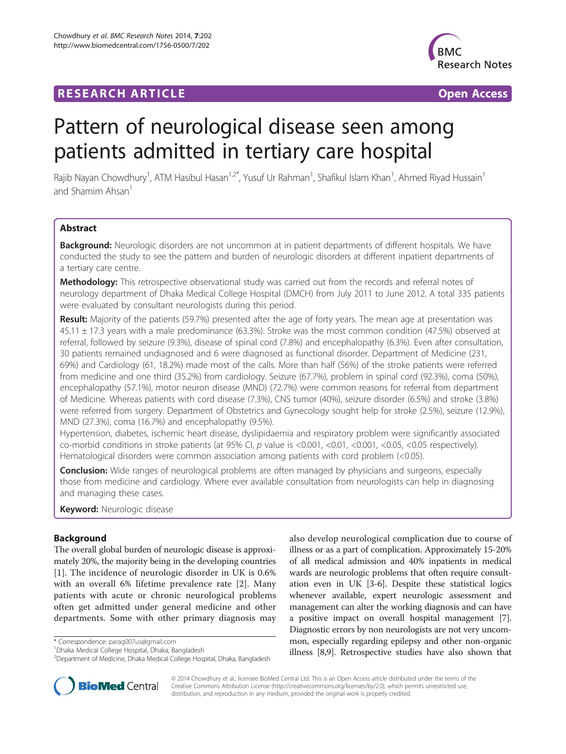# **RESEARCH ARTICLE Example 2014 CONSIDERING A RESEARCH ARTICLE**



# Pattern of neurological disease seen among patients admitted in tertiary care hospital

Rajib Nayan Chowdhury<sup>1</sup>, ATM Hasibul Hasan<sup>1,2\*</sup>, Yusuf Ur Rahman<sup>1</sup>, Shafikul Islam Khan<sup>1</sup>, Ahmed Riyad Hussain<sup>1</sup> and Shamim Ahsan<sup>1</sup>

# Abstract

Background: Neurologic disorders are not uncommon at in patient departments of different hospitals. We have conducted the study to see the pattern and burden of neurologic disorders at different inpatient departments of a tertiary care centre.

Methodology: This retrospective observational study was carried out from the records and referral notes of neurology department of Dhaka Medical College Hospital (DMCH) from July 2011 to June 2012. A total 335 patients were evaluated by consultant neurologists during this period.

Result: Majority of the patients (59.7%) presented after the age of forty years. The mean age at presentation was 45.11 ± 17.3 years with a male predominance (63.3%). Stroke was the most common condition (47.5%) observed at referral, followed by seizure (9.3%), disease of spinal cord (7.8%) and encephalopathy (6.3%). Even after consultation, 30 patients remained undiagnosed and 6 were diagnosed as functional disorder. Department of Medicine (231, 69%) and Cardiology (61, 18.2%) made most of the calls. More than half (56%) of the stroke patients were referred from medicine and one third (35.2%) from cardiology. Seizure (67.7%), problem in spinal cord (92.3%), coma (50%), encephalopathy (57.1%), motor neuron disease (MND) (72.7%) were common reasons for referral from department of Medicine. Whereas patients with cord disease (7.3%), CNS tumor (40%), seizure disorder (6.5%) and stroke (3.8%) were referred from surgery. Department of Obstetrics and Gynecology sought help for stroke (2.5%), seizure (12.9%), MND (27.3%), coma (16.7%) and encephalopathy (9.5%).

Hypertension, diabetes, ischemic heart disease, dyslipidaemia and respiratory problem were significantly associated co-morbid conditions in stroke patients (at 95% CI, p value is <0.001, <0.01, <0.001, <0.05, <0.05 respectively). Hematological disorders were common association among patients with cord problem (<0.05).

**Conclusion:** Wide ranges of neurological problems are often managed by physicians and surgeons, especially those from medicine and cardiology. Where ever available consultation from neurologists can help in diagnosing and managing these cases.

**Keyword:** Neurologic disease

## Background

The overall global burden of neurologic disease is approximately 20%, the majority being in the developing countries [[1\]](#page-3-0). The incidence of neurologic disorder in UK is 0.6% with an overall 6% lifetime prevalence rate [[2\]](#page-3-0). Many patients with acute or chronic neurological problems often get admitted under general medicine and other departments. Some with other primary diagnosis may

\* Correspondence: [parag007us@gmail.com](mailto:parag007us@gmail.com) <sup>1</sup>

also develop neurological complication due to course of illness or as a part of complication. Approximately 15-20% of all medical admission and 40% inpatients in medical wards are neurologic problems that often require consultation even in UK [\[3-6](#page-3-0)]. Despite these statistical logics whenever available, expert neurologic assessment and management can alter the working diagnosis and can have a positive impact on overall hospital management [[7](#page-3-0)]. Diagnostic errors by non neurologists are not very uncommon, especially regarding epilepsy and other non-organic illness [[8,9\]](#page-3-0). Retrospective studies have also shown that



© 2014 Chowdhury et al.; licensee BioMed Central Ltd. This is an Open Access article distributed under the terms of the Creative Commons Attribution License (<http://creativecommons.org/licenses/by/2.0>), which permits unrestricted use, distribution, and reproduction in any medium, provided the original work is properly credited.

Dhaka Medical College Hospital, Dhaka, Bangladesh

<sup>2</sup> Department of Medicine, Dhaka Medical College Hospital, Dhaka, Bangladesh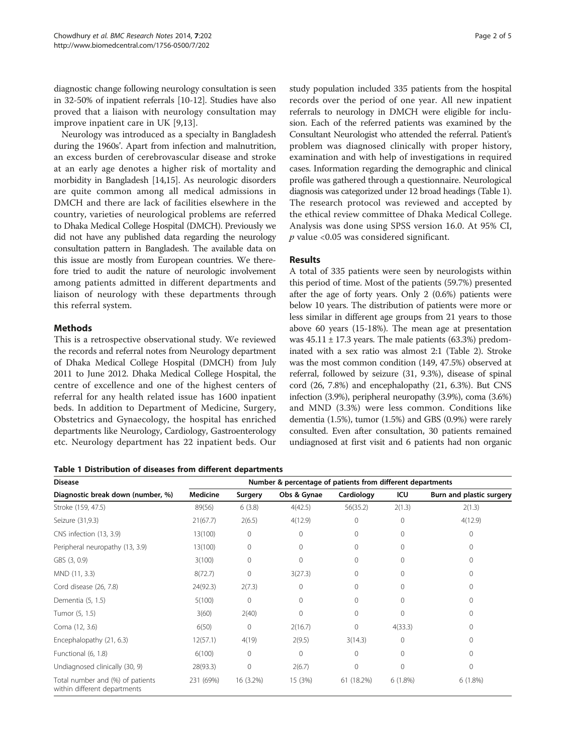<span id="page-1-0"></span>diagnostic change following neurology consultation is seen in 32-50% of inpatient referrals [[10-12\]](#page-3-0). Studies have also proved that a liaison with neurology consultation may improve inpatient care in UK [[9,](#page-3-0)[13\]](#page-4-0).

Neurology was introduced as a specialty in Bangladesh during the 1960s'. Apart from infection and malnutrition, an excess burden of cerebrovascular disease and stroke at an early age denotes a higher risk of mortality and morbidity in Bangladesh [\[14,15](#page-4-0)]. As neurologic disorders are quite common among all medical admissions in DMCH and there are lack of facilities elsewhere in the country, varieties of neurological problems are referred to Dhaka Medical College Hospital (DMCH). Previously we did not have any published data regarding the neurology consultation pattern in Bangladesh. The available data on this issue are mostly from European countries. We therefore tried to audit the nature of neurologic involvement among patients admitted in different departments and liaison of neurology with these departments through this referral system.

# Methods

This is a retrospective observational study. We reviewed the records and referral notes from Neurology department of Dhaka Medical College Hospital (DMCH) from July 2011 to June 2012. Dhaka Medical College Hospital, the centre of excellence and one of the highest centers of referral for any health related issue has 1600 inpatient beds. In addition to Department of Medicine, Surgery, Obstetrics and Gynaecology, the hospital has enriched departments like Neurology, Cardiology, Gastroenterology etc. Neurology department has 22 inpatient beds. Our

Table 1 Distribution of diseases from different departments

study population included 335 patients from the hospital records over the period of one year. All new inpatient referrals to neurology in DMCH were eligible for inclusion. Each of the referred patients was examined by the Consultant Neurologist who attended the referral. Patient's problem was diagnosed clinically with proper history, examination and with help of investigations in required cases. Information regarding the demographic and clinical profile was gathered through a questionnaire. Neurological diagnosis was categorized under 12 broad headings (Table 1). The research protocol was reviewed and accepted by the ethical review committee of Dhaka Medical College. Analysis was done using SPSS version 16.0. At 95% CI,  $p$  value <0.05 was considered significant.

# Results

A total of 335 patients were seen by neurologists within this period of time. Most of the patients (59.7%) presented after the age of forty years. Only 2 (0.6%) patients were below 10 years. The distribution of patients were more or less similar in different age groups from 21 years to those above 60 years (15-18%). The mean age at presentation was  $45.11 \pm 17.3$  years. The male patients (63.3%) predominated with a sex ratio was almost 2:1 (Table [2](#page-2-0)). Stroke was the most common condition (149, 47.5%) observed at referral, followed by seizure (31, 9.3%), disease of spinal cord (26, 7.8%) and encephalopathy (21, 6.3%). But CNS infection (3.9%), peripheral neuropathy (3.9%), coma (3.6%) and MND (3.3%) were less common. Conditions like dementia (1.5%), tumor (1.5%) and GBS (0.9%) were rarely consulted. Even after consultation, 30 patients remained undiagnosed at first visit and 6 patients had non organic

| <b>Disease</b>                                                   | Number & percentage of patients from different departments |              |              |              |          |                          |  |  |
|------------------------------------------------------------------|------------------------------------------------------------|--------------|--------------|--------------|----------|--------------------------|--|--|
| Diagnostic break down (number, %)                                | <b>Medicine</b>                                            | Surgery      | Obs & Gynae  | Cardiology   | ICU      | Burn and plastic surgery |  |  |
| Stroke (159, 47.5)                                               | 89(56)                                                     | 6(3.8)       | 4(42.5)      | 56(35.2)     | 2(1.3)   | 2(1.3)                   |  |  |
| Seizure (31,9.3)                                                 | 21(67.7)                                                   | 2(6.5)       | 4(12.9)      | $\mathbf{0}$ | 0        | 4(12.9)                  |  |  |
| CNS infection (13, 3.9)                                          | 13(100)                                                    | 0            | $\circ$      | $\Omega$     | $\Omega$ | $\Omega$                 |  |  |
| Peripheral neuropathy (13, 3.9)                                  | 13(100)                                                    | $\mathbf{0}$ | $\mathbf{0}$ | $\Omega$     | $\Omega$ | $\Omega$                 |  |  |
| GBS (3, 0.9)                                                     | 3(100)                                                     | 0            | $\mathbf{0}$ | $\mathbf{0}$ | $\Omega$ | $\Omega$                 |  |  |
| MND (11, 3.3)                                                    | 8(72.7)                                                    | $\mathbf{0}$ | 3(27.3)      | $\mathbf{0}$ | $\Omega$ | 0                        |  |  |
| Cord disease (26, 7.8)                                           | 24(92.3)                                                   | 2(7.3)       | $\mathbf 0$  | $\Omega$     | $\Omega$ | 0                        |  |  |
| Dementia (5, 1.5)                                                | 5(100)                                                     | 0            | $\mathbf 0$  | $\Omega$     | $\Omega$ | $\Omega$                 |  |  |
| Tumor (5, 1.5)                                                   | 3(60)                                                      | 2(40)        | $\mathbf{0}$ | $\Omega$     | $\Omega$ | 0                        |  |  |
| Coma (12, 3.6)                                                   | 6(50)                                                      | $\mathbf{0}$ | 2(16.7)      | $\Omega$     | 4(33.3)  | $\Omega$                 |  |  |
| Encephalopathy (21, 6.3)                                         | 12(57.1)                                                   | 4(19)        | 2(9.5)       | 3(14.3)      | $\Omega$ | $\Omega$                 |  |  |
| Functional (6, 1.8)                                              | 6(100)                                                     | $\mathbf 0$  | $\mathbf{0}$ | $\mathbf{0}$ | 0        | 0                        |  |  |
| Undiagnosed clinically (30, 9)                                   | 28(93.3)                                                   | 0            | 2(6.7)       | $\mathbf{0}$ | $\Omega$ | $\Omega$                 |  |  |
| Total number and (%) of patients<br>within different departments | 231 (69%)                                                  | 16 (3.2%)    | 15 (3%)      | 61 (18.2%)   | 6(1.8%)  | $6(1.8\%)$               |  |  |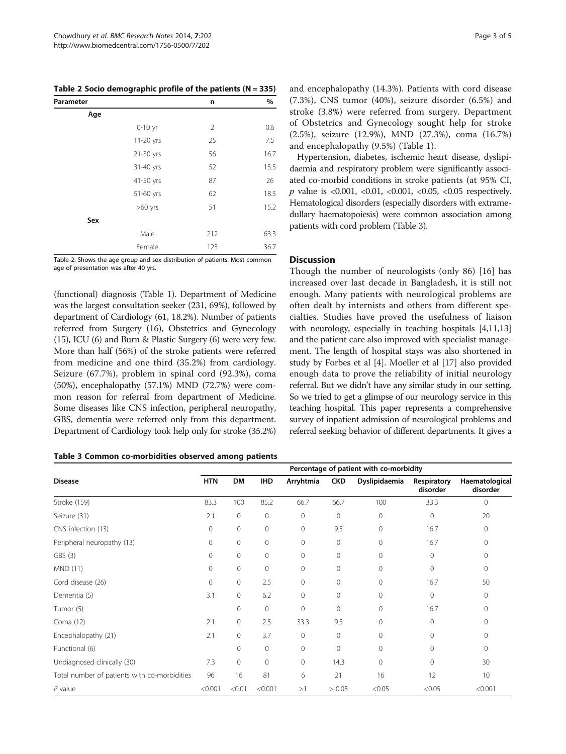<span id="page-2-0"></span>Table 2 Socio demographic profile of the patients ( $N = 335$ )

| Parameter |           | n              | %    |
|-----------|-----------|----------------|------|
| Age       |           |                |      |
|           | $0-10$ yr | $\overline{2}$ | 0.6  |
|           | 11-20 yrs | 25             | 7.5  |
|           | 21-30 yrs | 56             | 16.7 |
|           | 31-40 yrs | 52             | 15.5 |
|           | 41-50 yrs | 87             | 26   |
|           | 51-60 yrs | 62             | 18.5 |
|           | $>60$ yrs | 51             | 15.2 |
| Sex       |           |                |      |
|           | Male      | 212            | 63.3 |
|           | Female    | 123            | 36.7 |

Table-2: Shows the age group and sex distribution of patients. Most common age of presentation was after 40 yrs.

(functional) diagnosis (Table [1\)](#page-1-0). Department of Medicine was the largest consultation seeker (231, 69%), followed by department of Cardiology (61, 18.2%). Number of patients referred from Surgery (16), Obstetrics and Gynecology (15), ICU (6) and Burn & Plastic Surgery (6) were very few. More than half (56%) of the stroke patients were referred from medicine and one third (35.2%) from cardiology. Seizure (67.7%), problem in spinal cord (92.3%), coma (50%), encephalopathy (57.1%) MND (72.7%) were common reason for referral from department of Medicine. Some diseases like CNS infection, peripheral neuropathy, GBS, dementia were referred only from this department. Department of Cardiology took help only for stroke (35.2%)

Table 3 Common co-morbidities observed among patients

and encephalopathy (14.3%). Patients with cord disease (7.3%), CNS tumor (40%), seizure disorder (6.5%) and stroke (3.8%) were referred from surgery. Department of Obstetrics and Gynecology sought help for stroke (2.5%), seizure (12.9%), MND (27.3%), coma (16.7%) and encephalopathy (9.5%) (Table [1\)](#page-1-0).

Hypertension, diabetes, ischemic heart disease, dyslipidaemia and respiratory problem were significantly associated co-morbid conditions in stroke patients (at 95% CI, p value is <0.001, <0.01, <0.001, <0.05, <0.05 respectively. Hematological disorders (especially disorders with extramedullary haematopoiesis) were common association among patients with cord problem (Table 3).

## **Discussion**

Though the number of neurologists (only 86) [[16\]](#page-4-0) has increased over last decade in Bangladesh, it is still not enough. Many patients with neurological problems are often dealt by internists and others from different specialties. Studies have proved the usefulness of liaison with neurology, especially in teaching hospitals [\[4,11,](#page-3-0)[13](#page-4-0)] and the patient care also improved with specialist management. The length of hospital stays was also shortened in study by Forbes et al [\[4](#page-3-0)]. Moeller et al [\[17](#page-4-0)] also provided enough data to prove the reliability of initial neurology referral. But we didn't have any similar study in our setting. So we tried to get a glimpse of our neurology service in this teaching hospital. This paper represents a comprehensive survey of inpatient admission of neurological problems and referral seeking behavior of different departments. It gives a

|                                              | Percentage of patient with co-morbidity |              |                |              |              |               |                         |                            |
|----------------------------------------------|-----------------------------------------|--------------|----------------|--------------|--------------|---------------|-------------------------|----------------------------|
| <b>Disease</b>                               | <b>HTN</b>                              | DM           | <b>IHD</b>     | Arryhtmia    | <b>CKD</b>   | Dyslipidaemia | Respiratory<br>disorder | Haematological<br>disorder |
| Stroke (159)                                 | 83.3                                    | 100          | 85.2           | 66.7         | 66.7         | 100           | 33.3                    | $\mathbf 0$                |
| Seizure (31)                                 | 2.1                                     | $\mathbf 0$  | $\overline{0}$ | $\mathbf{0}$ | $\mathbf{0}$ | $\mathbf{0}$  | $\mathbf 0$             | 20                         |
| CNS infection (13)                           | $\mathbf{0}$                            | $\mathbf{0}$ | $\mathbf{0}$   | $\mathbf{0}$ | 9.5          | $\mathbf{0}$  | 16.7                    | $\mathbf{0}$               |
| Peripheral neuropathy (13)                   | 0                                       | $\circ$      | $\circ$        | $\mathbf{0}$ | 0            | $\mathbf{0}$  | 16.7                    | $\mathbf{0}$               |
| GBS(3)                                       | 0                                       | $\mathbf 0$  | $\mathbf{0}$   | $\mathbf{0}$ | $\mathbf{0}$ | $\mathbf{0}$  | $\circ$                 | $\mathbf{0}$               |
| MND (11)                                     | $\mathbf{0}$                            | $\mathbf 0$  | $\circ$        | $\circ$      | $\mathbf{0}$ | $\mathbf{0}$  | $\circ$                 | $\mathbf{0}$               |
| Cord disease (26)                            | $\circ$                                 | $\circ$      | 2.5            | $\mathbf{0}$ | $\mathbf 0$  | $\mathbf{0}$  | 16.7                    | 50                         |
| Dementia (5)                                 | 3.1                                     | $\circ$      | 6.2            | 0            | $\mathbf{0}$ | $\mathbf{0}$  | $\circ$                 | $\mathbf{0}$               |
| Tumor (5)                                    |                                         | $\mathbf{0}$ | $\overline{0}$ | $\circ$      | $\mathbf{0}$ | $\mathbf{0}$  | 16.7                    | $\mathbf 0$                |
| Coma (12)                                    | 2.1                                     | $\mathbf{0}$ | 2.5            | 33.3         | 9.5          | $\mathbf{0}$  | $\circ$                 | $\circ$                    |
| Encephalopathy (21)                          | 2.1                                     | $\mathbf{0}$ | 3.7            | $\mathbf{0}$ | $\mathbf{0}$ | $\mathbf{0}$  | $\Omega$                | $\mathbf{0}$               |
| Functional (6)                               |                                         | $\mathbf{0}$ | $\mathbf{0}$   | $\mathbf{0}$ | $\mathbf 0$  | $\mathbf{0}$  | $\Omega$                | $\mathbf{0}$               |
| Undiagnosed clinically (30)                  | 7.3                                     | $\mathbf 0$  | $\mathbf{0}$   | 0            | 14.3         | $\mathbf{0}$  | $\mathbf 0$             | 30                         |
| Total number of patients with co-morbidities | 96                                      | 16           | 81             | 6            | 21           | 16            | 12                      | 10                         |
| $P$ value                                    | < 0.001                                 | < 0.01       | < 0.001        | >1           | > 0.05       | < 0.05        | < 0.05                  | < 0.001                    |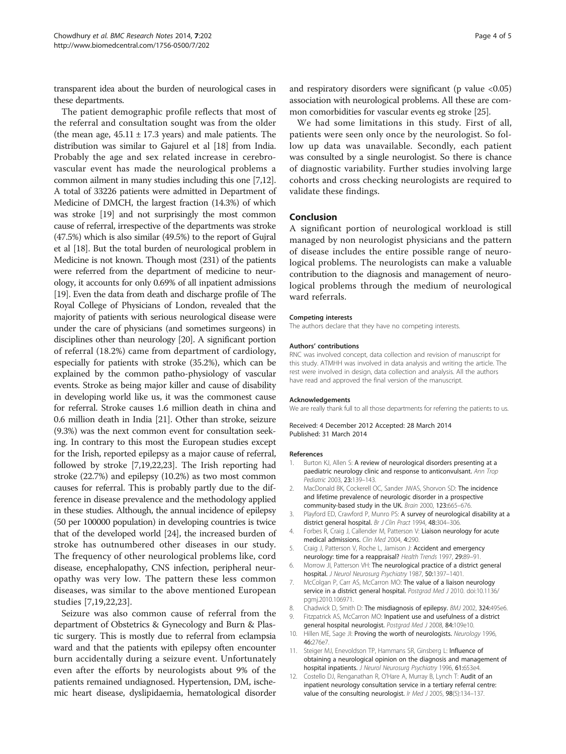<span id="page-3-0"></span>transparent idea about the burden of neurological cases in these departments.

The patient demographic profile reflects that most of the referral and consultation sought was from the older (the mean age,  $45.11 \pm 17.3$  years) and male patients. The distribution was similar to Gajurel et al [[18](#page-4-0)] from India. Probably the age and sex related increase in cerebrovascular event has made the neurological problems a common ailment in many studies including this one [7,12]. A total of 33226 patients were admitted in Department of Medicine of DMCH, the largest fraction (14.3%) of which was stroke [\[19\]](#page-4-0) and not surprisingly the most common cause of referral, irrespective of the departments was stroke (47.5%) which is also similar (49.5%) to the report of Gujral et al [\[18\]](#page-4-0). But the total burden of neurological problem in Medicine is not known. Though most (231) of the patients were referred from the department of medicine to neurology, it accounts for only 0.69% of all inpatient admissions [[19](#page-4-0)]. Even the data from death and discharge profile of The Royal College of Physicians of London, revealed that the majority of patients with serious neurological disease were under the care of physicians (and sometimes surgeons) in disciplines other than neurology [[20](#page-4-0)]. A significant portion of referral (18.2%) came from department of cardiology, especially for patients with stroke (35.2%), which can be explained by the common patho-physiology of vascular events. Stroke as being major killer and cause of disability in developing world like us, it was the commonest cause for referral. Stroke causes 1.6 million death in china and 0.6 million death in India [[21](#page-4-0)]. Other than stroke, seizure (9.3%) was the next common event for consultation seeking. In contrary to this most the European studies except for the Irish, reported epilepsy as a major cause of referral, followed by stroke [7[,19,22,23](#page-4-0)]. The Irish reporting had stroke (22.7%) and epilepsy (10.2%) as two most common causes for referral. This is probably partly due to the difference in disease prevalence and the methodology applied in these studies. Although, the annual incidence of epilepsy (50 per 100000 population) in developing countries is twice that of the developed world [[24](#page-4-0)], the increased burden of stroke has outnumbered other diseases in our study. The frequency of other neurological problems like, cord disease, encephalopathy, CNS infection, peripheral neuropathy was very low. The pattern these less common diseases, was similar to the above mentioned European studies [7,[19,22](#page-4-0),[23\]](#page-4-0).

Seizure was also common cause of referral from the department of Obstetrics & Gynecology and Burn & Plastic surgery. This is mostly due to referral from eclampsia ward and that the patients with epilepsy often encounter burn accidentally during a seizure event. Unfortunately even after the efforts by neurologists about 9% of the patients remained undiagnosed. Hypertension, DM, ischemic heart disease, dyslipidaemia, hematological disorder and respiratory disorders were significant (p value  $\langle 0.05 \rangle$ ) association with neurological problems. All these are common comorbidities for vascular events eg stroke [[25](#page-4-0)].

We had some limitations in this study. First of all, patients were seen only once by the neurologist. So follow up data was unavailable. Secondly, each patient was consulted by a single neurologist. So there is chance of diagnostic variability. Further studies involving large cohorts and cross checking neurologists are required to validate these findings.

#### Conclusion

A significant portion of neurological workload is still managed by non neurologist physicians and the pattern of disease includes the entire possible range of neurological problems. The neurologists can make a valuable contribution to the diagnosis and management of neurological problems through the medium of neurological ward referrals.

#### Competing interests

The authors declare that they have no competing interests.

#### Authors' contributions

RNC was involved concept, data collection and revision of manuscript for this study. ATMHH was involved in data analysis and writing the article. The rest were involved in design, data collection and analysis. All the authors have read and approved the final version of the manuscript.

#### Acknowledgements

We are really thank full to all those departments for referring the patients to us.

Received: 4 December 2012 Accepted: 28 March 2014 Published: 31 March 2014

#### References

- 1. Burton KJ, Allen S: A review of neurological disorders presenting at a paediatric neurology clinic and response to anticonvulsant. Ann Trop Pediatric 2003, 23:139–143.
- 2. MacDonald BK, Cockerell OC, Sander JWAS, Shorvon SD: The incidence and lifetime prevalence of neurologic disorder in a prospective community-based study in the UK. Brain 2000, 123:665–676.
- 3. Playford ED, Crawford P, Munro PS: A survey of neurological disability at a district general hospital. Br J Clin Pract 1994, 48:304-306.
- 4. Forbes R, Craig J, Callender M, Patterson V: Liaison neurology for acute medical admissions. Clin Med 2004, 4:290.
- 5. Craig J, Patterson V, Roche L, Jamison J: Accident and emergency neurology: time for a reappraisal? Health Trends 1997, 29:89-91
- 6. Morrow JI, Patterson VH: The neurological practice of a district general hospital. J Neurol Neurosurg Psychiatry 1987, 50:1397–1401.
- 7. McColgan P, Carr AS, McCarron MO: The value of a liaison neurology service in a district general hospital. Postgrad Med J 2010. doi:10.1136/ pgmj.2010.106971.
- 8. Chadwick D, Smith D: The misdiagnosis of epilepsy. BMJ 2002, 324:495e6.
- 9. Fitzpatrick AS, McCarron MO: Inpatient use and usefulness of a district general hospital neurologist. Postgrad Med J 2008, 84:109e10.
- 10. Hillen ME, Sage JI: Proving the worth of neurologists. Neurology 1996, 46:276e7.
- 11. Steiger MJ, Enevoldson TP, Hammans SR, Ginsberg L: Influence of obtaining a neurological opinion on the diagnosis and management of hospital inpatients. J Neurol Neurosurg Psychiatry 1996, 61:653e4.
- 12. Costello DJ, Renganathan R, O'Hare A, Murray B, Lynch T: Audit of an inpatient neurology consultation service in a tertiary referral centre: value of the consulting neurologist. Ir Med J 2005, 98(5):134-137.